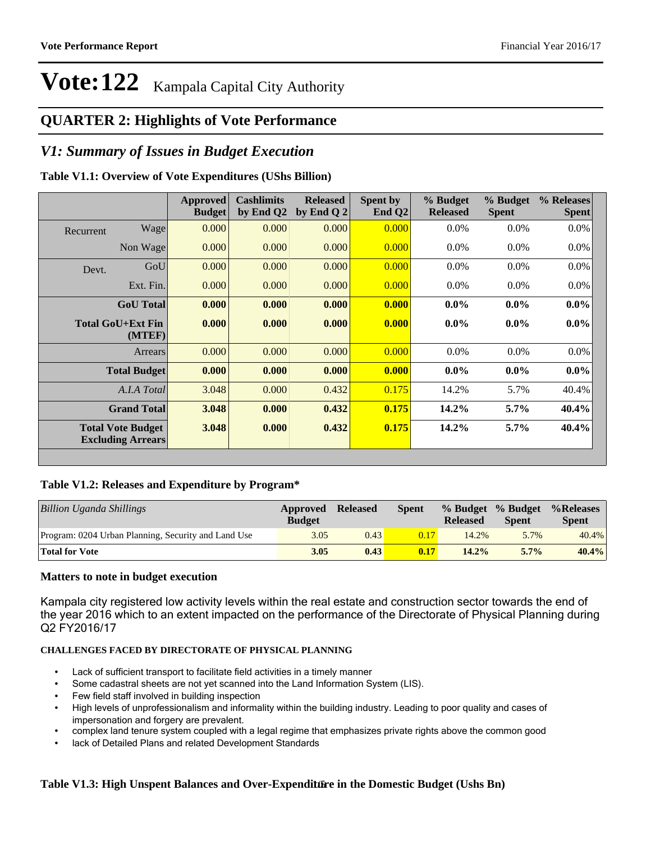#### **QUARTER 2: Highlights of Vote Performance**

#### *V1: Summary of Issues in Budget Execution*

#### **Table V1.1: Overview of Vote Expenditures (UShs Billion)**

|           |                                                      | <b>Approved</b><br><b>Budget</b> | <b>Cashlimits</b><br>by End Q2 | <b>Released</b><br>by End Q $2$ | Spent by<br>End $Q2$ | % Budget<br><b>Released</b> | % Budget<br><b>Spent</b> | % Releases<br><b>Spent</b> |
|-----------|------------------------------------------------------|----------------------------------|--------------------------------|---------------------------------|----------------------|-----------------------------|--------------------------|----------------------------|
| Recurrent | Wage                                                 | 0.000                            | 0.000                          | 0.000                           | 0.000                | $0.0\%$                     | 0.0%                     | $0.0\%$                    |
|           | Non Wage                                             | 0.000                            | 0.000                          | 0.000                           | 0.000                | $0.0\%$                     | $0.0\%$                  | $0.0\%$                    |
| Devt.     | GoU                                                  | 0.000                            | 0.000                          | 0.000                           | 0.000                | $0.0\%$                     | $0.0\%$                  | 0.0%                       |
|           | Ext. Fin.                                            | 0.000                            | 0.000                          | 0.000                           | 0.000                | $0.0\%$                     | $0.0\%$                  | $0.0\%$                    |
|           | <b>GoU</b> Total                                     | 0.000                            | 0.000                          | 0.000                           | 0.000                | $0.0\%$                     | $0.0\%$                  | $0.0\%$                    |
|           | Total GoU+Ext Fin<br>(MTEF)                          | 0.000                            | 0.000                          | 0.000                           | 0.000                | $0.0\%$                     | $0.0\%$                  | $0.0\%$                    |
|           | Arrears                                              | 0.000                            | 0.000                          | 0.000                           | 0.000                | $0.0\%$                     | 0.0%                     | 0.0%                       |
|           | <b>Total Budget</b>                                  | 0.000                            | 0.000                          | 0.000                           | 0.000                | $0.0\%$                     | $0.0\%$                  | $0.0\%$                    |
|           | A.I.A Total                                          | 3.048                            | 0.000                          | 0.432                           | 0.175                | 14.2%                       | 5.7%                     | 40.4%                      |
|           | <b>Grand Total</b>                                   | 3.048                            | 0.000                          | 0.432                           | 0.175                | 14.2%                       | 5.7%                     | 40.4%                      |
|           | <b>Total Vote Budget</b><br><b>Excluding Arrears</b> | 3.048                            | 0.000                          | 0.432                           | 0.175                | 14.2%                       | $5.7\%$                  | 40.4%                      |

#### **Table V1.2: Releases and Expenditure by Program\***

| Billion Uganda Shillings                            | Approved<br><b>Budget</b> | <b>Released</b> | <b>Spent</b> | <b>Released</b> | % Budget % Budget<br><b>Spent</b> | %Releases<br><b>Spent</b> |
|-----------------------------------------------------|---------------------------|-----------------|--------------|-----------------|-----------------------------------|---------------------------|
| Program: 0204 Urban Planning, Security and Land Use | 3.05                      | 0.43            | 0.17         | 14.2%           | 5.7%                              | 40.4%                     |
| <b>Total for Vote</b>                               | 3.05                      | 0.43            | 0.17         | 14.2%           | $5.7\%$                           | $40.4\%$                  |

#### **Matters to note in budget execution**

Kampala city registered low activity levels within the real estate and construction sector towards the end of the year 2016 which to an extent impacted on the performance of the Directorate of Physical Planning during Q2 FY2016/17

#### **CHALLENGES FACED BY DIRECTORATE OF PHYSICAL PLANNING**

- Lack of sufficient transport to facilitate field activities in a timely manner
- Some cadastral sheets are not yet scanned into the Land Information System (LIS).
- Few field staff involved in building inspection
- High levels of unprofessionalism and informality within the building industry. Leading to poor quality and cases of impersonation and forgery are prevalent.
- complex land tenure system coupled with a legal regime that emphasizes private rights above the common good
- lack of Detailed Plans and related Development Standards

#### Table V1.3: High Unspent Balances and Over-Expenditure in the Domestic Budget (Ushs Bn)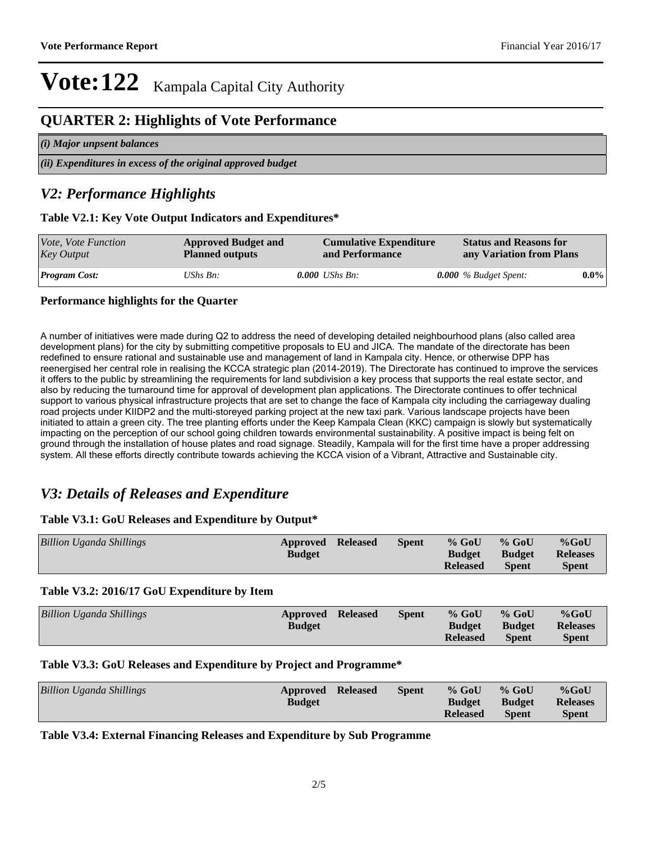#### **QUARTER 2: Highlights of Vote Performance**

| (i) Major unpsent balances                                     |  |
|----------------------------------------------------------------|--|
| $(iii)$ Expenditures in excess of the original approved budget |  |

#### *V2: Performance Highlights*

#### **Table V2.1: Key Vote Output Indicators and Expenditures\***

| <i>Vote, Vote Function</i><br><b>Approved Budget and</b><br><b>Key Output</b><br><b>Planned outputs</b> |          | <b>Cumulative Expenditure</b><br>and Performance | <b>Status and Reasons for</b><br>any Variation from Plans |         |  |
|---------------------------------------------------------------------------------------------------------|----------|--------------------------------------------------|-----------------------------------------------------------|---------|--|
| <b>Program Cost:</b>                                                                                    | UShs Bn: | <b>0.000</b> UShs Bn:                            | 0.000 $%$ Budget Spent:                                   | $0.0\%$ |  |

#### **Performance highlights for the Quarter**

A number of initiatives were made during Q2 to address the need of developing detailed neighbourhood plans (also called area development plans) for the city by submitting competitive proposals to EU and JICA. The mandate of the directorate has been redefined to ensure rational and sustainable use and management of land in Kampala city. Hence, or otherwise DPP has reenergised her central role in realising the KCCA strategic plan (2014-2019). The Directorate has continued to improve the services it offers to the public by streamlining the requirements for land subdivision a key process that supports the real estate sector, and also by reducing the turnaround time for approval of development plan applications. The Directorate continues to offer technical support to various physical infrastructure projects that are set to change the face of Kampala city including the carriageway dualing road projects under KIIDP2 and the multi-storeyed parking project at the new taxi park. Various landscape projects have been initiated to attain a green city. The tree planting efforts under the Keep Kampala Clean (KKC) campaign is slowly but systematically impacting on the perception of our school going children towards environmental sustainability. A positive impact is being felt on ground through the installation of house plates and road signage. Steadily, Kampala will for the first time have a proper addressing system. All these efforts directly contribute towards achieving the KCCA vision of a Vibrant, Attractive and Sustainable city.

#### *V3: Details of Releases and Expenditure*

#### **Table V3.1: GoU Releases and Expenditure by Output\***

| <b>Billion Uganda Shillings</b> | <b>Approved Released</b><br><b>Budget</b> | <b>Spent</b> | $%$ GoU<br><b>Budget</b><br><b>Released</b> | $%$ GoU<br><b>Budget</b><br><b>Spent</b> | $%$ GoU<br><b>Releases</b><br><b>Spent</b> |
|---------------------------------|-------------------------------------------|--------------|---------------------------------------------|------------------------------------------|--------------------------------------------|
|                                 |                                           |              |                                             |                                          |                                            |

#### **Table V3.2: 2016/17 GoU Expenditure by Item**

| <b>Billion Uganda Shillings</b> | <b>Approved Released</b><br><b>Budget</b> | <b>Spent</b> | $%$ GoU<br><b>Budget</b><br><b>Released</b> | $%$ GoU<br><b>Budget</b><br><b>Spent</b> | $%$ GoU<br><b>Releases</b><br><b>Spent</b> |
|---------------------------------|-------------------------------------------|--------------|---------------------------------------------|------------------------------------------|--------------------------------------------|
|                                 |                                           |              |                                             |                                          |                                            |

#### **Table V3.3: GoU Releases and Expenditure by Project and Programme\***

| <b>Billion Uganda Shillings</b> | <b>Approved Released</b><br><b>Budget</b> | <b>Spent</b> | $%$ GoU<br><b>Budget</b> | $%$ GoU<br><b>Budget</b> | $%$ GoU<br><b>Releases</b> |
|---------------------------------|-------------------------------------------|--------------|--------------------------|--------------------------|----------------------------|
|                                 |                                           |              | <b>Released</b>          | <b>Spent</b>             | <b>Spent</b>               |

#### **Table V3.4: External Financing Releases and Expenditure by Sub Programme**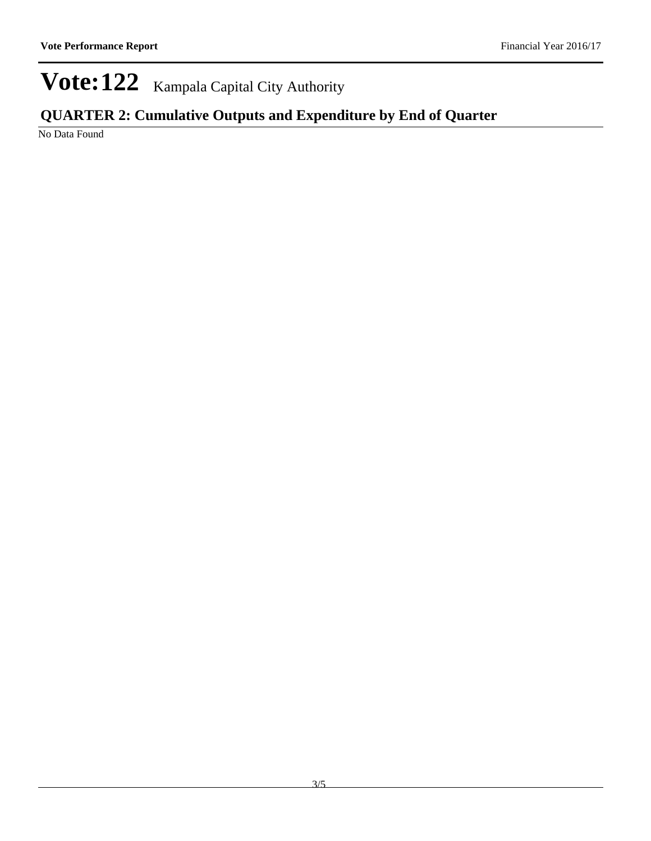### **QUARTER 2: Cumulative Outputs and Expenditure by End of Quarter**

No Data Found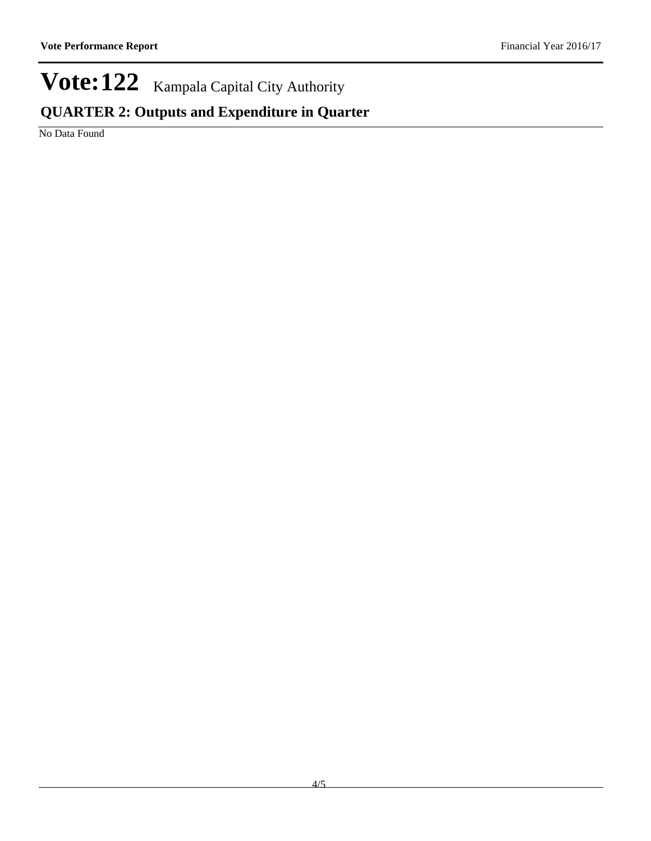### **QUARTER 2: Outputs and Expenditure in Quarter**

No Data Found